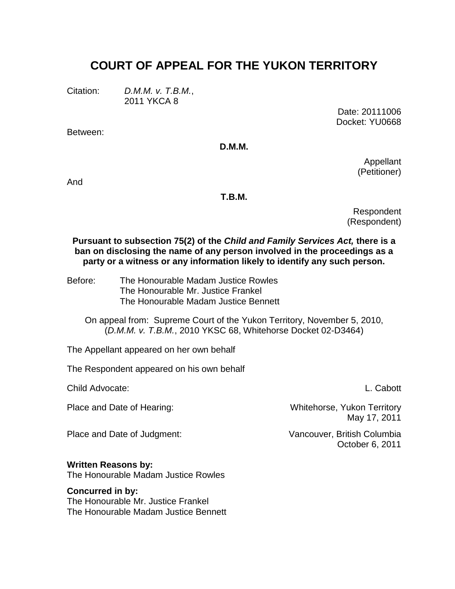# **COURT OF APPEAL FOR THE YUKON TERRITORY**

Citation: *D.M.M. v. T.B.M.*,

2011 YKCA 8

Between:

Date: 20111006 Docket: YU0668

**D.M.M.**

Appellant (Petitioner)

And

#### **T.B.M.**

Respondent (Respondent)

**Pursuant to subsection 75(2) of the** *Child and Family Services Act,* **there is a ban on disclosing the name of any person involved in the proceedings as a party or a witness or any information likely to identify any such person.**

Before: The Honourable Madam Justice Rowles The Honourable Mr. Justice Frankel The Honourable Madam Justice Bennett

On appeal from: Supreme Court of the Yukon Territory, November 5, 2010, (*D.M.M. v. T.B.M.*, 2010 YKSC 68, Whitehorse Docket 02-D3464)

The Appellant appeared on her own behalf

The Respondent appeared on his own behalf

Child Advocate: L. Cabott

Place and Date of Judgment: Vancouver, British Columbia

Place and Date of Hearing: Whitehorse, Yukon Territory May 17, 2011

October 6, 2011

**Written Reasons by:**

The Honourable Madam Justice Rowles

#### **Concurred in by:**

The Honourable Mr. Justice Frankel The Honourable Madam Justice Bennett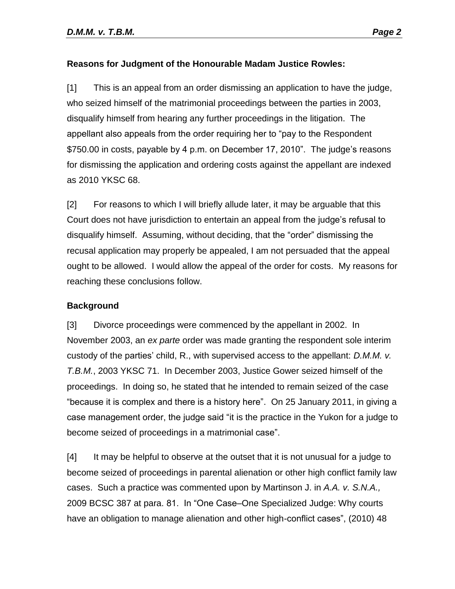# **Reasons for Judgment of the Honourable Madam Justice Rowles:**

[1] This is an appeal from an order dismissing an application to have the judge, who seized himself of the matrimonial proceedings between the parties in 2003, disqualify himself from hearing any further proceedings in the litigation. The appellant also appeals from the order requiring her to "pay to the Respondent \$750.00 in costs, payable by 4 p.m. on December 17, 2010". The judge's reasons for dismissing the application and ordering costs against the appellant are indexed as 2010 YKSC 68.

[2] For reasons to which I will briefly allude later, it may be arguable that this Court does not have jurisdiction to entertain an appeal from the judge's refusal to disqualify himself. Assuming, without deciding, that the "order" dismissing the recusal application may properly be appealed, I am not persuaded that the appeal ought to be allowed. I would allow the appeal of the order for costs. My reasons for reaching these conclusions follow.

## **Background**

[3] Divorce proceedings were commenced by the appellant in 2002. In November 2003, an *ex parte* order was made granting the respondent sole interim custody of the parties' child, R., with supervised access to the appellant: *D.M.M. v. T.B.M.*, 2003 YKSC 71. In December 2003, Justice Gower seized himself of the proceedings. In doing so, he stated that he intended to remain seized of the case "because it is complex and there is a history here". On 25 January 2011, in giving a case management order, the judge said "it is the practice in the Yukon for a judge to become seized of proceedings in a matrimonial case".

[4] It may be helpful to observe at the outset that it is not unusual for a judge to become seized of proceedings in parental alienation or other high conflict family law cases. Such a practice was commented upon by Martinson J. in *A.A. v. S.N.A.,* 2009 BCSC 387 at para. 81. In "One Case–One Specialized Judge: Why courts have an obligation to manage alienation and other high-conflict cases", (2010) 48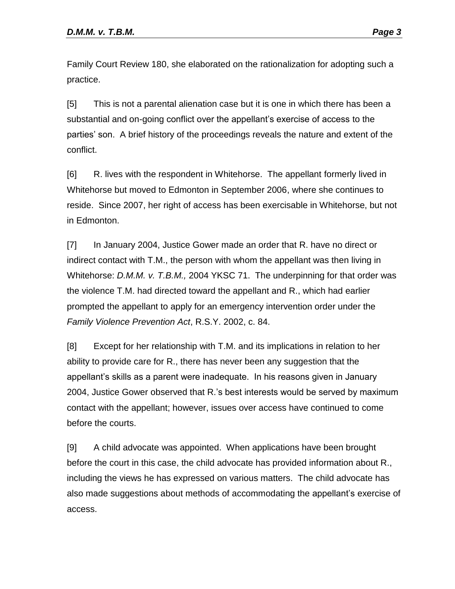Family Court Review 180, she elaborated on the rationalization for adopting such a practice.

[5] This is not a parental alienation case but it is one in which there has been a substantial and on-going conflict over the appellant's exercise of access to the parties' son. A brief history of the proceedings reveals the nature and extent of the conflict.

[6] R. lives with the respondent in Whitehorse. The appellant formerly lived in Whitehorse but moved to Edmonton in September 2006, where she continues to reside. Since 2007, her right of access has been exercisable in Whitehorse, but not in Edmonton.

[7] In January 2004, Justice Gower made an order that R. have no direct or indirect contact with T.M., the person with whom the appellant was then living in Whitehorse: *D.M.M. v. T.B.M.,* 2004 YKSC 71. The underpinning for that order was the violence T.M. had directed toward the appellant and R., which had earlier prompted the appellant to apply for an emergency intervention order under the *Family Violence Prevention Act*, R.S.Y. 2002, c. 84.

[8] Except for her relationship with T.M. and its implications in relation to her ability to provide care for R., there has never been any suggestion that the appellant's skills as a parent were inadequate. In his reasons given in January 2004, Justice Gower observed that R.'s best interests would be served by maximum contact with the appellant; however, issues over access have continued to come before the courts.

[9] A child advocate was appointed. When applications have been brought before the court in this case, the child advocate has provided information about R., including the views he has expressed on various matters. The child advocate has also made suggestions about methods of accommodating the appellant's exercise of access.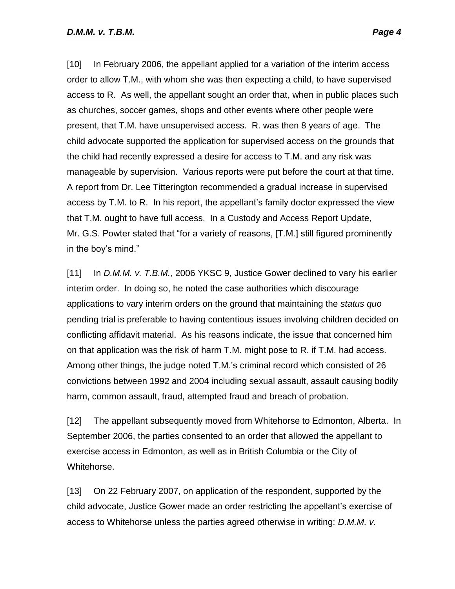[10] In February 2006, the appellant applied for a variation of the interim access order to allow T.M., with whom she was then expecting a child, to have supervised access to R. As well, the appellant sought an order that, when in public places such as churches, soccer games, shops and other events where other people were present, that T.M. have unsupervised access. R. was then 8 years of age. The child advocate supported the application for supervised access on the grounds that the child had recently expressed a desire for access to T.M. and any risk was manageable by supervision. Various reports were put before the court at that time. A report from Dr. Lee Titterington recommended a gradual increase in supervised access by T.M. to R. In his report, the appellant's family doctor expressed the view that T.M. ought to have full access. In a Custody and Access Report Update, Mr. G.S. Powter stated that "for a variety of reasons, [T.M.] still figured prominently in the boy's mind."

[11] In *D.M.M. v. T.B.M.*, 2006 YKSC 9, Justice Gower declined to vary his earlier interim order. In doing so, he noted the case authorities which discourage applications to vary interim orders on the ground that maintaining the *status quo* pending trial is preferable to having contentious issues involving children decided on conflicting affidavit material. As his reasons indicate, the issue that concerned him on that application was the risk of harm T.M. might pose to R. if T.M. had access. Among other things, the judge noted T.M.'s criminal record which consisted of 26 convictions between 1992 and 2004 including sexual assault, assault causing bodily harm, common assault, fraud, attempted fraud and breach of probation.

[12] The appellant subsequently moved from Whitehorse to Edmonton, Alberta. In September 2006, the parties consented to an order that allowed the appellant to exercise access in Edmonton, as well as in British Columbia or the City of Whitehorse.

[13] On 22 February 2007, on application of the respondent, supported by the child advocate, Justice Gower made an order restricting the appellant's exercise of access to Whitehorse unless the parties agreed otherwise in writing: *D.M.M. v.*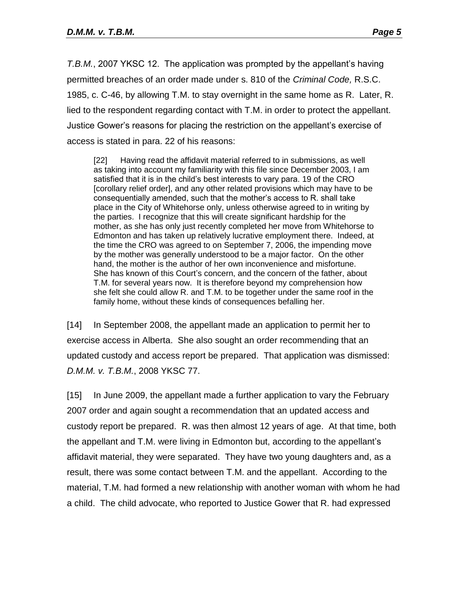*T.B.M.*, 2007 YKSC 12. The application was prompted by the appellant's having permitted breaches of an order made under s. 810 of the *Criminal Code,* R.S.C. 1985, c. C-46, by allowing T.M. to stay overnight in the same home as R. Later, R. lied to the respondent regarding contact with T.M. in order to protect the appellant. Justice Gower's reasons for placing the restriction on the appellant's exercise of access is stated in para. 22 of his reasons:

[22] Having read the affidavit material referred to in submissions, as well as taking into account my familiarity with this file since December 2003, I am satisfied that it is in the child's best interests to vary para. 19 of the CRO [corollary relief order], and any other related provisions which may have to be consequentially amended, such that the mother's access to R. shall take place in the City of Whitehorse only, unless otherwise agreed to in writing by the parties. I recognize that this will create significant hardship for the mother, as she has only just recently completed her move from Whitehorse to Edmonton and has taken up relatively lucrative employment there. Indeed, at the time the CRO was agreed to on September 7, 2006, the impending move by the mother was generally understood to be a major factor. On the other hand, the mother is the author of her own inconvenience and misfortune. She has known of this Court's concern, and the concern of the father, about T.M. for several years now. It is therefore beyond my comprehension how she felt she could allow R. and T.M. to be together under the same roof in the family home, without these kinds of consequences befalling her.

[14] In September 2008, the appellant made an application to permit her to exercise access in Alberta. She also sought an order recommending that an updated custody and access report be prepared. That application was dismissed: *D.M.M. v. T.B.M.*, 2008 YKSC 77.

[15] In June 2009, the appellant made a further application to vary the February 2007 order and again sought a recommendation that an updated access and custody report be prepared. R. was then almost 12 years of age. At that time, both the appellant and T.M. were living in Edmonton but, according to the appellant's affidavit material, they were separated. They have two young daughters and, as a result, there was some contact between T.M. and the appellant. According to the material, T.M. had formed a new relationship with another woman with whom he had a child. The child advocate, who reported to Justice Gower that R. had expressed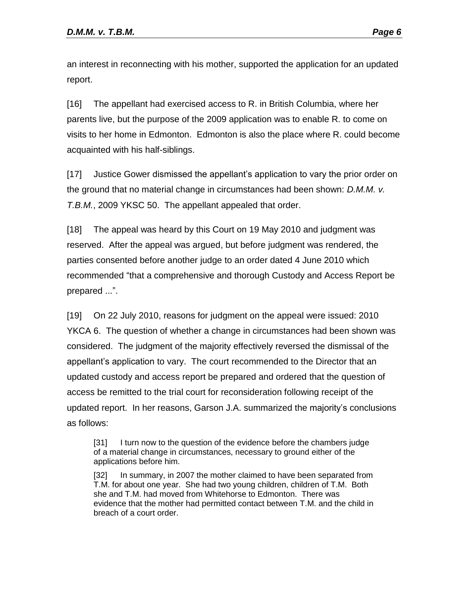an interest in reconnecting with his mother, supported the application for an updated report.

[16] The appellant had exercised access to R. in British Columbia, where her parents live, but the purpose of the 2009 application was to enable R. to come on visits to her home in Edmonton. Edmonton is also the place where R. could become acquainted with his half-siblings.

[17] Justice Gower dismissed the appellant's application to vary the prior order on the ground that no material change in circumstances had been shown: *D.M.M. v. T.B.M.*, 2009 YKSC 50. The appellant appealed that order.

[18] The appeal was heard by this Court on 19 May 2010 and judgment was reserved. After the appeal was argued, but before judgment was rendered, the parties consented before another judge to an order dated 4 June 2010 which recommended "that a comprehensive and thorough Custody and Access Report be prepared ...".

[19] On 22 July 2010, reasons for judgment on the appeal were issued: 2010 YKCA 6. The question of whether a change in circumstances had been shown was considered. The judgment of the majority effectively reversed the dismissal of the appellant's application to vary. The court recommended to the Director that an updated custody and access report be prepared and ordered that the question of access be remitted to the trial court for reconsideration following receipt of the updated report. In her reasons, Garson J.A. summarized the majority's conclusions as follows:

[31] I turn now to the question of the evidence before the chambers judge of a material change in circumstances, necessary to ground either of the applications before him.

[32] In summary, in 2007 the mother claimed to have been separated from T.M. for about one year. She had two young children, children of T.M. Both she and T.M. had moved from Whitehorse to Edmonton. There was evidence that the mother had permitted contact between T.M. and the child in breach of a court order.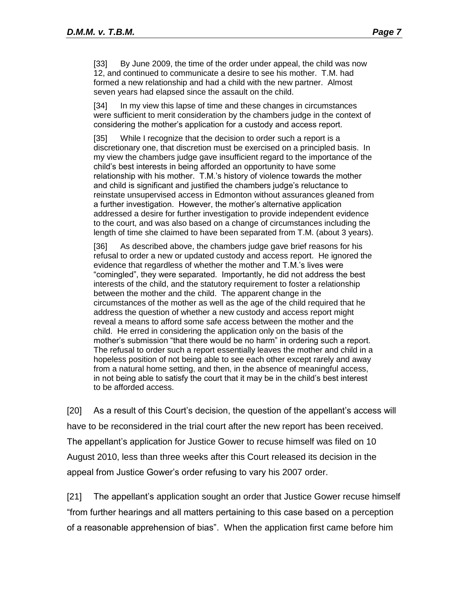[33] By June 2009, the time of the order under appeal, the child was now 12, and continued to communicate a desire to see his mother. T.M. had formed a new relationship and had a child with the new partner. Almost seven years had elapsed since the assault on the child.

[34] In my view this lapse of time and these changes in circumstances were sufficient to merit consideration by the chambers judge in the context of considering the mother's application for a custody and access report.

[35] While I recognize that the decision to order such a report is a discretionary one, that discretion must be exercised on a principled basis. In my view the chambers judge gave insufficient regard to the importance of the child's best interests in being afforded an opportunity to have some relationship with his mother. T.M.'s history of violence towards the mother and child is significant and justified the chambers judge's reluctance to reinstate unsupervised access in Edmonton without assurances gleaned from a further investigation. However, the mother's alternative application addressed a desire for further investigation to provide independent evidence to the court, and was also based on a change of circumstances including the length of time she claimed to have been separated from T.M. (about 3 years).

[36] As described above, the chambers judge gave brief reasons for his refusal to order a new or updated custody and access report. He ignored the evidence that regardless of whether the mother and T.M.'s lives were "comingled", they were separated. Importantly, he did not address the best interests of the child, and the statutory requirement to foster a relationship between the mother and the child. The apparent change in the circumstances of the mother as well as the age of the child required that he address the question of whether a new custody and access report might reveal a means to afford some safe access between the mother and the child. He erred in considering the application only on the basis of the mother's submission "that there would be no harm" in ordering such a report. The refusal to order such a report essentially leaves the mother and child in a hopeless position of not being able to see each other except rarely and away from a natural home setting, and then, in the absence of meaningful access, in not being able to satisfy the court that it may be in the child's best interest to be afforded access.

[20] As a result of this Court's decision, the question of the appellant's access will have to be reconsidered in the trial court after the new report has been received. The appellant's application for Justice Gower to recuse himself was filed on 10 August 2010, less than three weeks after this Court released its decision in the appeal from Justice Gower's order refusing to vary his 2007 order.

[21] The appellant's application sought an order that Justice Gower recuse himself "from further hearings and all matters pertaining to this case based on a perception of a reasonable apprehension of bias". When the application first came before him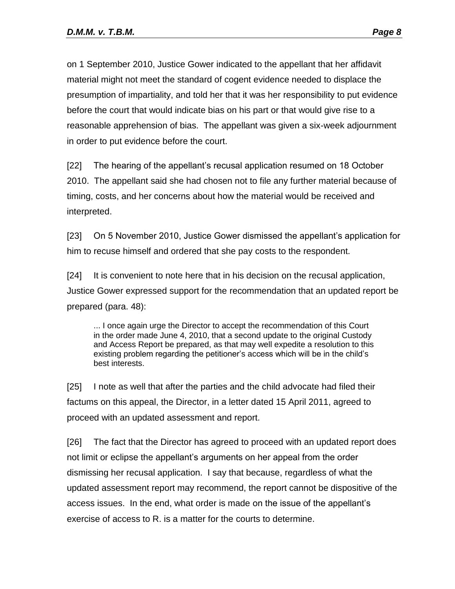on 1 September 2010, Justice Gower indicated to the appellant that her affidavit material might not meet the standard of cogent evidence needed to displace the presumption of impartiality, and told her that it was her responsibility to put evidence before the court that would indicate bias on his part or that would give rise to a reasonable apprehension of bias. The appellant was given a six-week adjournment in order to put evidence before the court.

[22] The hearing of the appellant's recusal application resumed on 18 October 2010. The appellant said she had chosen not to file any further material because of timing, costs, and her concerns about how the material would be received and interpreted.

[23] On 5 November 2010, Justice Gower dismissed the appellant's application for him to recuse himself and ordered that she pay costs to the respondent.

[24] It is convenient to note here that in his decision on the recusal application, Justice Gower expressed support for the recommendation that an updated report be prepared (para. 48):

... I once again urge the Director to accept the recommendation of this Court in the order made June 4, 2010, that a second update to the original Custody and Access Report be prepared, as that may well expedite a resolution to this existing problem regarding the petitioner's access which will be in the child's best interests.

[25] I note as well that after the parties and the child advocate had filed their factums on this appeal, the Director, in a letter dated 15 April 2011, agreed to proceed with an updated assessment and report.

[26] The fact that the Director has agreed to proceed with an updated report does not limit or eclipse the appellant's arguments on her appeal from the order dismissing her recusal application. I say that because, regardless of what the updated assessment report may recommend, the report cannot be dispositive of the access issues. In the end, what order is made on the issue of the appellant's exercise of access to R. is a matter for the courts to determine.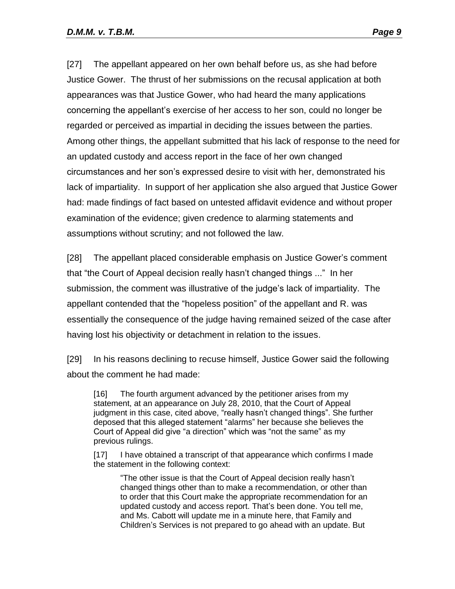[27] The appellant appeared on her own behalf before us, as she had before Justice Gower. The thrust of her submissions on the recusal application at both appearances was that Justice Gower, who had heard the many applications concerning the appellant's exercise of her access to her son, could no longer be regarded or perceived as impartial in deciding the issues between the parties. Among other things, the appellant submitted that his lack of response to the need for an updated custody and access report in the face of her own changed circumstances and her son's expressed desire to visit with her, demonstrated his lack of impartiality. In support of her application she also argued that Justice Gower had: made findings of fact based on untested affidavit evidence and without proper examination of the evidence; given credence to alarming statements and assumptions without scrutiny; and not followed the law.

[28] The appellant placed considerable emphasis on Justice Gower's comment that "the Court of Appeal decision really hasn't changed things ..." In her submission, the comment was illustrative of the judge's lack of impartiality. The appellant contended that the "hopeless position" of the appellant and R. was essentially the consequence of the judge having remained seized of the case after having lost his objectivity or detachment in relation to the issues.

[29] In his reasons declining to recuse himself, Justice Gower said the following about the comment he had made:

[16] The fourth argument advanced by the petitioner arises from my statement, at an appearance on July 28, 2010, that the Court of Appeal judgment in this case, cited above, "really hasn't changed things". She further deposed that this alleged statement "alarms" her because she believes the Court of Appeal did give "a direction" which was "not the same" as my previous rulings.

[17] I have obtained a transcript of that appearance which confirms I made the statement in the following context:

"The other issue is that the Court of Appeal decision really hasn't changed things other than to make a recommendation, or other than to order that this Court make the appropriate recommendation for an updated custody and access report. That's been done. You tell me, and Ms. Cabott will update me in a minute here, that Family and Children's Services is not prepared to go ahead with an update. But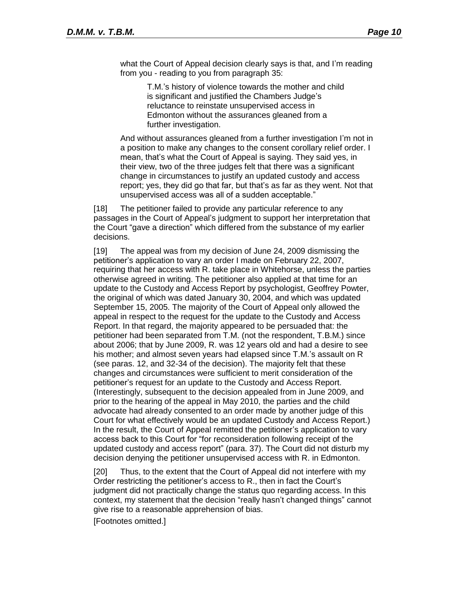what the Court of Appeal decision clearly says is that, and I'm reading from you - reading to you from paragraph 35:

> T.M.'s history of violence towards the mother and child is significant and justified the Chambers Judge's reluctance to reinstate unsupervised access in Edmonton without the assurances gleaned from a further investigation.

And without assurances gleaned from a further investigation I'm not in a position to make any changes to the consent corollary relief order. I mean, that's what the Court of Appeal is saying. They said yes, in their view, two of the three judges felt that there was a significant change in circumstances to justify an updated custody and access report; yes, they did go that far, but that's as far as they went. Not that unsupervised access was all of a sudden acceptable."

[18] The petitioner failed to provide any particular reference to any passages in the Court of Appeal's judgment to support her interpretation that the Court "gave a direction" which differed from the substance of my earlier decisions.

[19] The appeal was from my decision of June 24, 2009 dismissing the petitioner's application to vary an order I made on February 22, 2007, requiring that her access with R. take place in Whitehorse, unless the parties otherwise agreed in writing. The petitioner also applied at that time for an update to the Custody and Access Report by psychologist, Geoffrey Powter, the original of which was dated January 30, 2004, and which was updated September 15, 2005. The majority of the Court of Appeal only allowed the appeal in respect to the request for the update to the Custody and Access Report. In that regard, the majority appeared to be persuaded that: the petitioner had been separated from T.M. (not the respondent, T.B.M.) since about 2006; that by June 2009, R. was 12 years old and had a desire to see his mother; and almost seven years had elapsed since T.M.'s assault on R (see paras. 12, and 32-34 of the decision). The majority felt that these changes and circumstances were sufficient to merit consideration of the petitioner's request for an update to the Custody and Access Report. (Interestingly, subsequent to the decision appealed from in June 2009, and prior to the hearing of the appeal in May 2010, the parties and the child advocate had already consented to an order made by another judge of this Court for what effectively would be an updated Custody and Access Report.) In the result, the Court of Appeal remitted the petitioner's application to vary access back to this Court for "for reconsideration following receipt of the updated custody and access report" (para. 37). The Court did not disturb my decision denying the petitioner unsupervised access with R. in Edmonton.

[20] Thus, to the extent that the Court of Appeal did not interfere with my Order restricting the petitioner's access to R., then in fact the Court's judgment did not practically change the status quo regarding access. In this context, my statement that the decision "really hasn't changed things" cannot give rise to a reasonable apprehension of bias.

[Footnotes omitted.]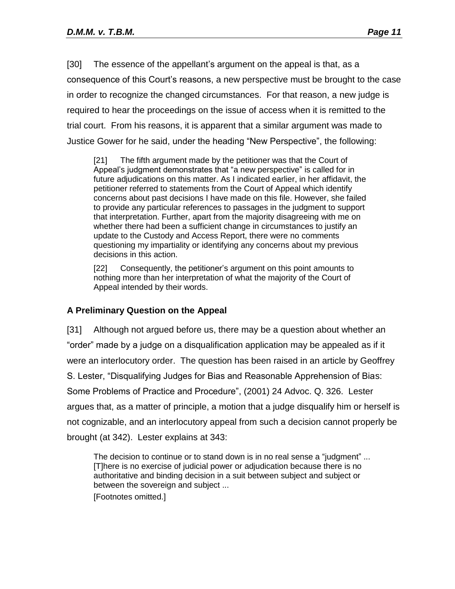[30] The essence of the appellant's argument on the appeal is that, as a consequence of this Court's reasons, a new perspective must be brought to the case in order to recognize the changed circumstances. For that reason, a new judge is required to hear the proceedings on the issue of access when it is remitted to the trial court. From his reasons, it is apparent that a similar argument was made to Justice Gower for he said, under the heading "New Perspective", the following:

[21] The fifth argument made by the petitioner was that the Court of Appeal's judgment demonstrates that "a new perspective" is called for in future adjudications on this matter. As I indicated earlier, in her affidavit, the petitioner referred to statements from the Court of Appeal which identify concerns about past decisions I have made on this file. However, she failed to provide any particular references to passages in the judgment to support that interpretation. Further, apart from the majority disagreeing with me on whether there had been a sufficient change in circumstances to justify an update to the Custody and Access Report, there were no comments questioning my impartiality or identifying any concerns about my previous decisions in this action.

[22] Consequently, the petitioner's argument on this point amounts to nothing more than her interpretation of what the majority of the Court of Appeal intended by their words.

## **A Preliminary Question on the Appeal**

[31] Although not argued before us, there may be a question about whether an "order" made by a judge on a disqualification application may be appealed as if it were an interlocutory order. The question has been raised in an article by Geoffrey S. Lester, "Disqualifying Judges for Bias and Reasonable Apprehension of Bias: Some Problems of Practice and Procedure", (2001) 24 Advoc. Q. 326. Lester argues that, as a matter of principle, a motion that a judge disqualify him or herself is not cognizable, and an interlocutory appeal from such a decision cannot properly be brought (at 342). Lester explains at 343:

The decision to continue or to stand down is in no real sense a "judgment" ... [T]here is no exercise of judicial power or adjudication because there is no authoritative and binding decision in a suit between subject and subject or between the sovereign and subject ...

[Footnotes omitted.]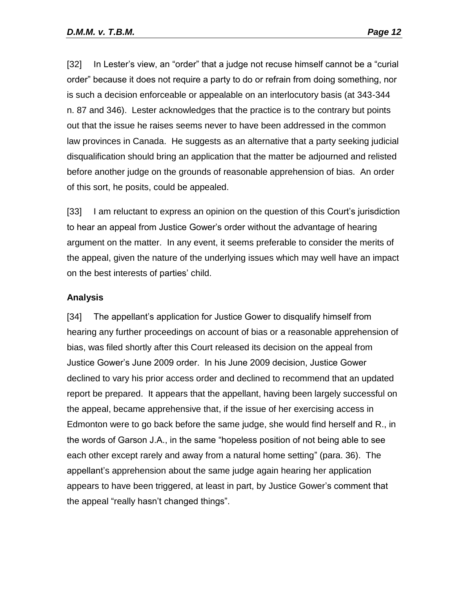[32] In Lester's view, an "order" that a judge not recuse himself cannot be a "curial order" because it does not require a party to do or refrain from doing something, nor is such a decision enforceable or appealable on an interlocutory basis (at 343-344 n. 87 and 346). Lester acknowledges that the practice is to the contrary but points out that the issue he raises seems never to have been addressed in the common law provinces in Canada. He suggests as an alternative that a party seeking judicial disqualification should bring an application that the matter be adjourned and relisted before another judge on the grounds of reasonable apprehension of bias. An order of this sort, he posits, could be appealed.

[33] I am reluctant to express an opinion on the question of this Court's jurisdiction to hear an appeal from Justice Gower's order without the advantage of hearing argument on the matter. In any event, it seems preferable to consider the merits of the appeal, given the nature of the underlying issues which may well have an impact on the best interests of parties' child.

#### **Analysis**

[34] The appellant's application for Justice Gower to disqualify himself from hearing any further proceedings on account of bias or a reasonable apprehension of bias, was filed shortly after this Court released its decision on the appeal from Justice Gower's June 2009 order. In his June 2009 decision, Justice Gower declined to vary his prior access order and declined to recommend that an updated report be prepared. It appears that the appellant, having been largely successful on the appeal, became apprehensive that, if the issue of her exercising access in Edmonton were to go back before the same judge, she would find herself and R., in the words of Garson J.A., in the same "hopeless position of not being able to see each other except rarely and away from a natural home setting" (para. 36). The appellant's apprehension about the same judge again hearing her application appears to have been triggered, at least in part, by Justice Gower's comment that the appeal "really hasn't changed things".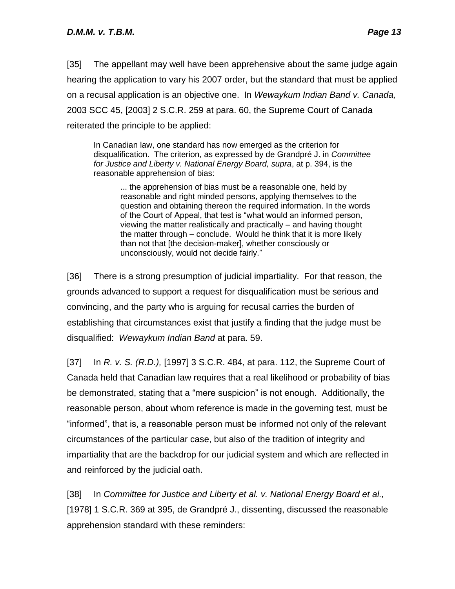[35] The appellant may well have been apprehensive about the same judge again hearing the application to vary his 2007 order, but the standard that must be applied on a recusal application is an objective one. In *Wewaykum Indian Band v. Canada,*  2003 SCC 45, [2003] 2 S.C.R. 259 at para. 60, the Supreme Court of Canada reiterated the principle to be applied:

In Canadian law, one standard has now emerged as the criterion for disqualification. The criterion, as expressed by de Grandpré J. in *Committee for Justice and Liberty v. National Energy Board, supra*, at p. 394, is the reasonable apprehension of bias:

... the apprehension of bias must be a reasonable one, held by reasonable and right minded persons, applying themselves to the question and obtaining thereon the required information. In the words of the Court of Appeal, that test is "what would an informed person, viewing the matter realistically and practically – and having thought the matter through – conclude. Would he think that it is more likely than not that [the decision-maker], whether consciously or unconsciously, would not decide fairly."

[36] There is a strong presumption of judicial impartiality. For that reason, the grounds advanced to support a request for disqualification must be serious and convincing, and the party who is arguing for recusal carries the burden of establishing that circumstances exist that justify a finding that the judge must be disqualified: *Wewaykum Indian Band* at para. 59.

[37] In *R. v. S. (R.D.),* [1997] 3 S.C.R. 484, at para. 112, the Supreme Court of Canada held that Canadian law requires that a real likelihood or probability of bias be demonstrated, stating that a "mere suspicion" is not enough. Additionally, the reasonable person, about whom reference is made in the governing test, must be "informed", that is, a reasonable person must be informed not only of the relevant circumstances of the particular case, but also of the tradition of integrity and impartiality that are the backdrop for our judicial system and which are reflected in and reinforced by the judicial oath.

[38] In *Committee for Justice and Liberty et al. v. National Energy Board et al.,*  [1978] 1 S.C.R. 369 at 395, de Grandpré J., dissenting, discussed the reasonable apprehension standard with these reminders: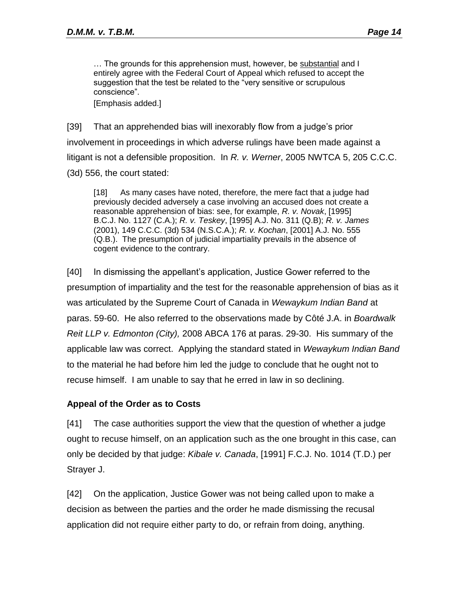… The grounds for this apprehension must, however, be substantial and I entirely agree with the Federal Court of Appeal which refused to accept the suggestion that the test be related to the "very sensitive or scrupulous conscience".

[Emphasis added.]

[39] That an apprehended bias will inexorably flow from a judge's prior involvement in proceedings in which adverse rulings have been made against a litigant is not a defensible proposition. In *R. v. Werner*, 2005 NWTCA 5, 205 C.C.C. (3d) 556, the court stated:

[18] As many cases have noted, therefore, the mere fact that a judge had previously decided adversely a case involving an accused does not create a reasonable apprehension of bias: see, for example, *R. v. Novak*, [1995] B.C.J. No. 1127 (C.A.); *R. v. Teskey*, [1995] A.J. No. 311 (Q.B); *R. v. James*  (2001), 149 C.C.C. (3d) 534 (N.S.C.A.); *R. v. Kochan*, [2001] A.J. No. 555 (Q.B.). The presumption of judicial impartiality prevails in the absence of cogent evidence to the contrary.

[40] In dismissing the appellant's application, Justice Gower referred to the presumption of impartiality and the test for the reasonable apprehension of bias as it was articulated by the Supreme Court of Canada in *Wewaykum Indian Band* at paras. 59-60. He also referred to the observations made by Côté J.A. in *Boardwalk Reit LLP v. Edmonton (City),* 2008 ABCA 176 at paras. 29-30. His summary of the applicable law was correct. Applying the standard stated in *Wewaykum Indian Band* to the material he had before him led the judge to conclude that he ought not to recuse himself. I am unable to say that he erred in law in so declining.

## **Appeal of the Order as to Costs**

[41] The case authorities support the view that the question of whether a judge ought to recuse himself, on an application such as the one brought in this case, can only be decided by that judge: *Kibale v. Canada*, [1991] F.C.J. No. 1014 (T.D.) per Strayer J.

[42] On the application, Justice Gower was not being called upon to make a decision as between the parties and the order he made dismissing the recusal application did not require either party to do, or refrain from doing, anything.